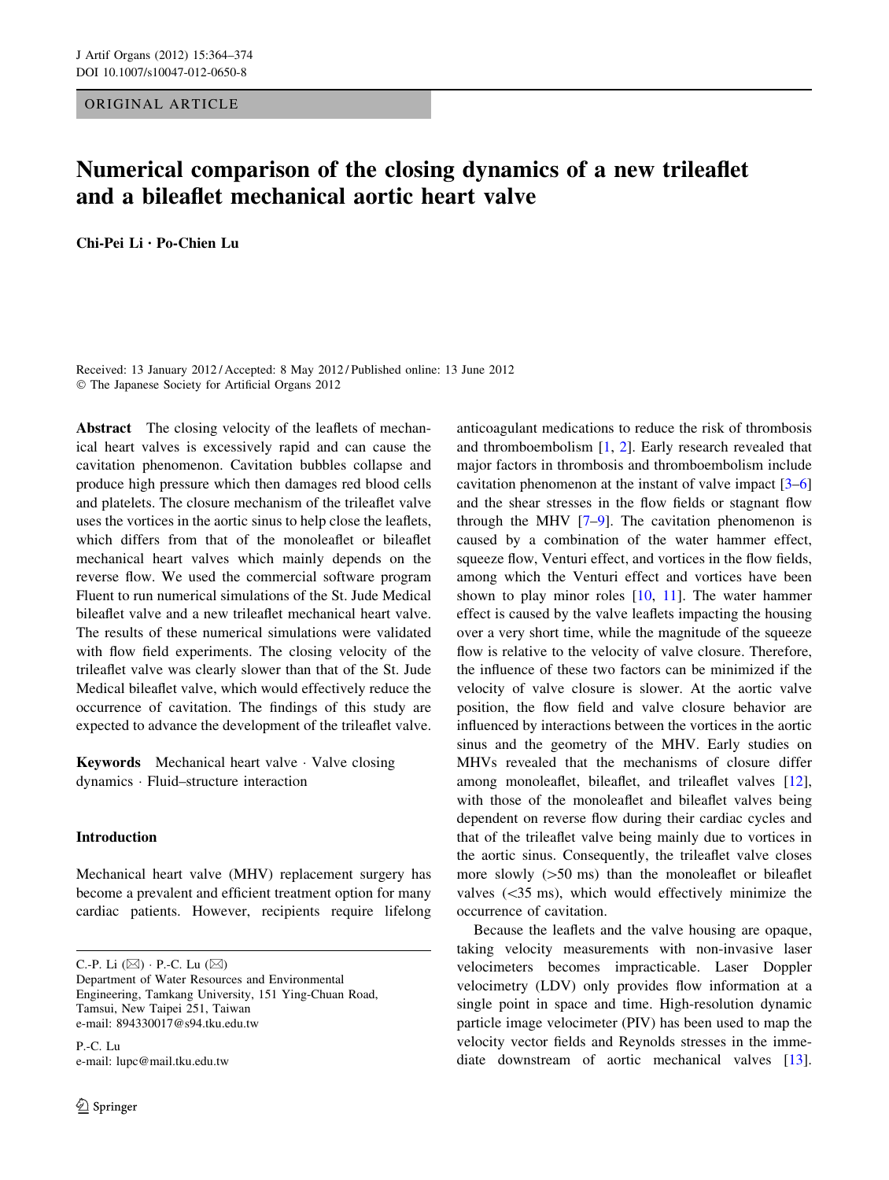ORIGINAL ARTICLE

# Numerical comparison of the closing dynamics of a new trileaflet and a bileaflet mechanical aortic heart valve

Chi-Pei Li • Po-Chien Lu

Received: 13 January 2012 / Accepted: 8 May 2012 / Published online: 13 June 2012 - The Japanese Society for Artificial Organs 2012

Abstract The closing velocity of the leaflets of mechanical heart valves is excessively rapid and can cause the cavitation phenomenon. Cavitation bubbles collapse and produce high pressure which then damages red blood cells and platelets. The closure mechanism of the trileaflet valve uses the vortices in the aortic sinus to help close the leaflets, which differs from that of the monoleaflet or bileaflet mechanical heart valves which mainly depends on the reverse flow. We used the commercial software program Fluent to run numerical simulations of the St. Jude Medical bileaflet valve and a new trileaflet mechanical heart valve. The results of these numerical simulations were validated with flow field experiments. The closing velocity of the trileaflet valve was clearly slower than that of the St. Jude Medical bileaflet valve, which would effectively reduce the occurrence of cavitation. The findings of this study are expected to advance the development of the trileaflet valve.

Keywords Mechanical heart valve · Valve closing dynamics - Fluid–structure interaction

## Introduction

Mechanical heart valve (MHV) replacement surgery has become a prevalent and efficient treatment option for many cardiac patients. However, recipients require lifelong

C.-P. Li  $(\boxtimes) \cdot$  P.-C. Lu  $(\boxtimes)$ 

Department of Water Resources and Environmental Engineering, Tamkang University, 151 Ying-Chuan Road, Tamsui, New Taipei 251, Taiwan e-mail: 894330017@s94.tku.edu.tw

P.-C. Lu e-mail: lupc@mail.tku.edu.tw

anticoagulant medications to reduce the risk of thrombosis and thromboembolism [\[1](#page-10-0), [2](#page-10-0)]. Early research revealed that major factors in thrombosis and thromboembolism include cavitation phenomenon at the instant of valve impact [[3–6\]](#page-10-0) and the shear stresses in the flow fields or stagnant flow through the MHV  $[7-9]$ . The cavitation phenomenon is caused by a combination of the water hammer effect, squeeze flow, Venturi effect, and vortices in the flow fields, among which the Venturi effect and vortices have been shown to play minor roles [[10,](#page-10-0) [11\]](#page-10-0). The water hammer effect is caused by the valve leaflets impacting the housing over a very short time, while the magnitude of the squeeze flow is relative to the velocity of valve closure. Therefore, the influence of these two factors can be minimized if the velocity of valve closure is slower. At the aortic valve position, the flow field and valve closure behavior are influenced by interactions between the vortices in the aortic sinus and the geometry of the MHV. Early studies on MHVs revealed that the mechanisms of closure differ among monoleaflet, bileaflet, and trileaflet valves [\[12](#page-10-0)], with those of the monoleaflet and bileaflet valves being dependent on reverse flow during their cardiac cycles and that of the trileaflet valve being mainly due to vortices in the aortic sinus. Consequently, the trileaflet valve closes more slowly  $(50 \text{ ms})$  than the monoleaflet or bileaflet valves  $(<35$  ms), which would effectively minimize the occurrence of cavitation.

Because the leaflets and the valve housing are opaque, taking velocity measurements with non-invasive laser velocimeters becomes impracticable. Laser Doppler velocimetry (LDV) only provides flow information at a single point in space and time. High-resolution dynamic particle image velocimeter (PIV) has been used to map the velocity vector fields and Reynolds stresses in the immediate downstream of aortic mechanical valves [\[13](#page-10-0)].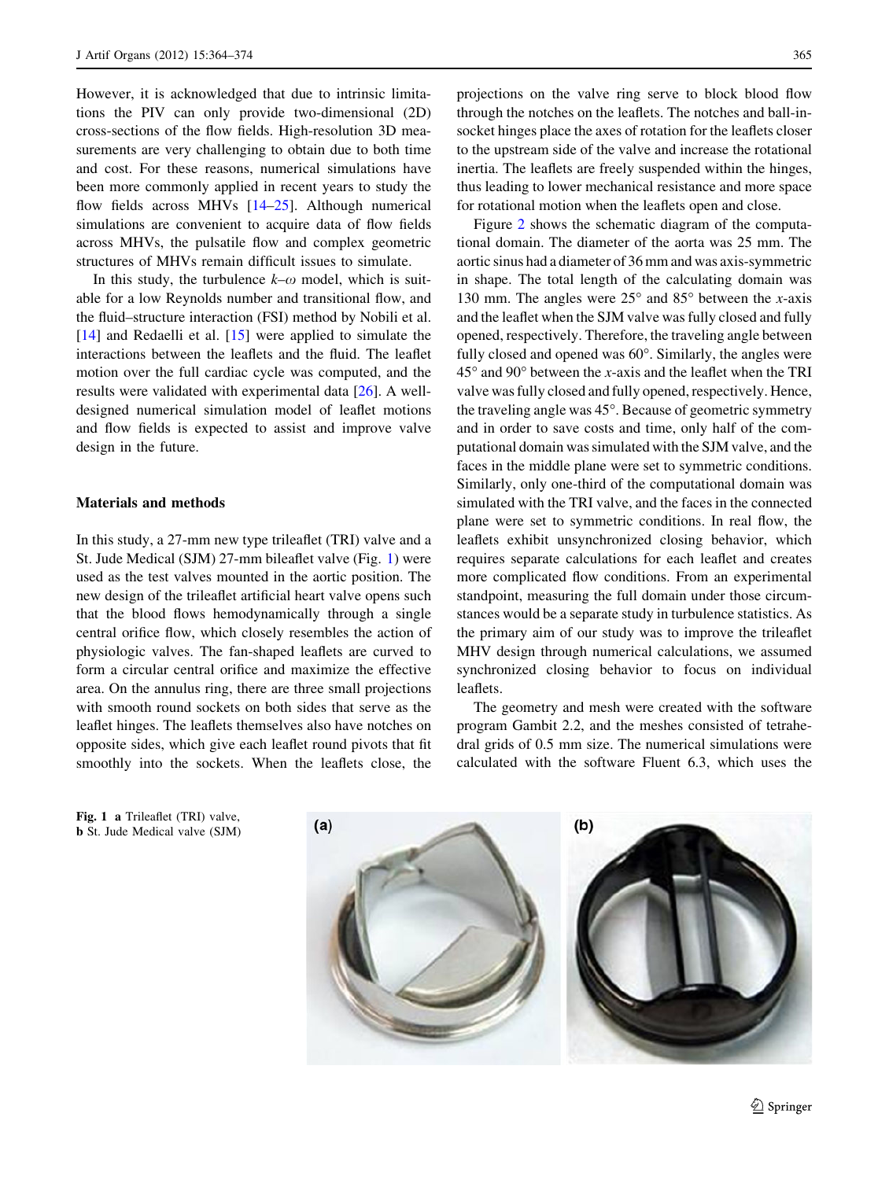However, it is acknowledged that due to intrinsic limitations the PIV can only provide two-dimensional (2D) cross-sections of the flow fields. High-resolution 3D measurements are very challenging to obtain due to both time and cost. For these reasons, numerical simulations have been more commonly applied in recent years to study the flow fields across MHVs  $[14–25]$  $[14–25]$ . Although numerical simulations are convenient to acquire data of flow fields across MHVs, the pulsatile flow and complex geometric structures of MHVs remain difficult issues to simulate.

In this study, the turbulence  $k-\omega$  model, which is suitable for a low Reynolds number and transitional flow, and the fluid–structure interaction (FSI) method by Nobili et al. [\[14](#page-10-0)] and Redaelli et al. [\[15](#page-10-0)] were applied to simulate the interactions between the leaflets and the fluid. The leaflet motion over the full cardiac cycle was computed, and the results were validated with experimental data [\[26](#page-10-0)]. A welldesigned numerical simulation model of leaflet motions and flow fields is expected to assist and improve valve design in the future.

## Materials and methods

In this study, a 27-mm new type trileaflet (TRI) valve and a St. Jude Medical (SJM) 27-mm bileaflet valve (Fig. 1) were used as the test valves mounted in the aortic position. The new design of the trileaflet artificial heart valve opens such that the blood flows hemodynamically through a single central orifice flow, which closely resembles the action of physiologic valves. The fan-shaped leaflets are curved to form a circular central orifice and maximize the effective area. On the annulus ring, there are three small projections with smooth round sockets on both sides that serve as the leaflet hinges. The leaflets themselves also have notches on opposite sides, which give each leaflet round pivots that fit smoothly into the sockets. When the leaflets close, the projections on the valve ring serve to block blood flow through the notches on the leaflets. The notches and ball-insocket hinges place the axes of rotation for the leaflets closer to the upstream side of the valve and increase the rotational inertia. The leaflets are freely suspended within the hinges, thus leading to lower mechanical resistance and more space for rotational motion when the leaflets open and close.

Figure [2](#page-2-0) shows the schematic diagram of the computational domain. The diameter of the aorta was 25 mm. The aortic sinus had a diameter of 36 mm and was axis-symmetric in shape. The total length of the calculating domain was 130 mm. The angles were  $25^{\circ}$  and  $85^{\circ}$  between the x-axis and the leaflet when the SJM valve was fully closed and fully opened, respectively. Therefore, the traveling angle between fully closed and opened was  $60^\circ$ . Similarly, the angles were  $45^{\circ}$  and 90° between the x-axis and the leaflet when the TRI valve was fully closed and fully opened, respectively. Hence, the traveling angle was 45°. Because of geometric symmetry and in order to save costs and time, only half of the computational domain was simulated with the SJM valve, and the faces in the middle plane were set to symmetric conditions. Similarly, only one-third of the computational domain was simulated with the TRI valve, and the faces in the connected plane were set to symmetric conditions. In real flow, the leaflets exhibit unsynchronized closing behavior, which requires separate calculations for each leaflet and creates more complicated flow conditions. From an experimental standpoint, measuring the full domain under those circumstances would be a separate study in turbulence statistics. As the primary aim of our study was to improve the trileaflet MHV design through numerical calculations, we assumed synchronized closing behavior to focus on individual leaflets.

The geometry and mesh were created with the software program Gambit 2.2, and the meshes consisted of tetrahedral grids of 0.5 mm size. The numerical simulations were calculated with the software Fluent 6.3, which uses the

Fig. 1 a Trileaflet (TRI) valve, b St. Jude Medical valve (SJM)

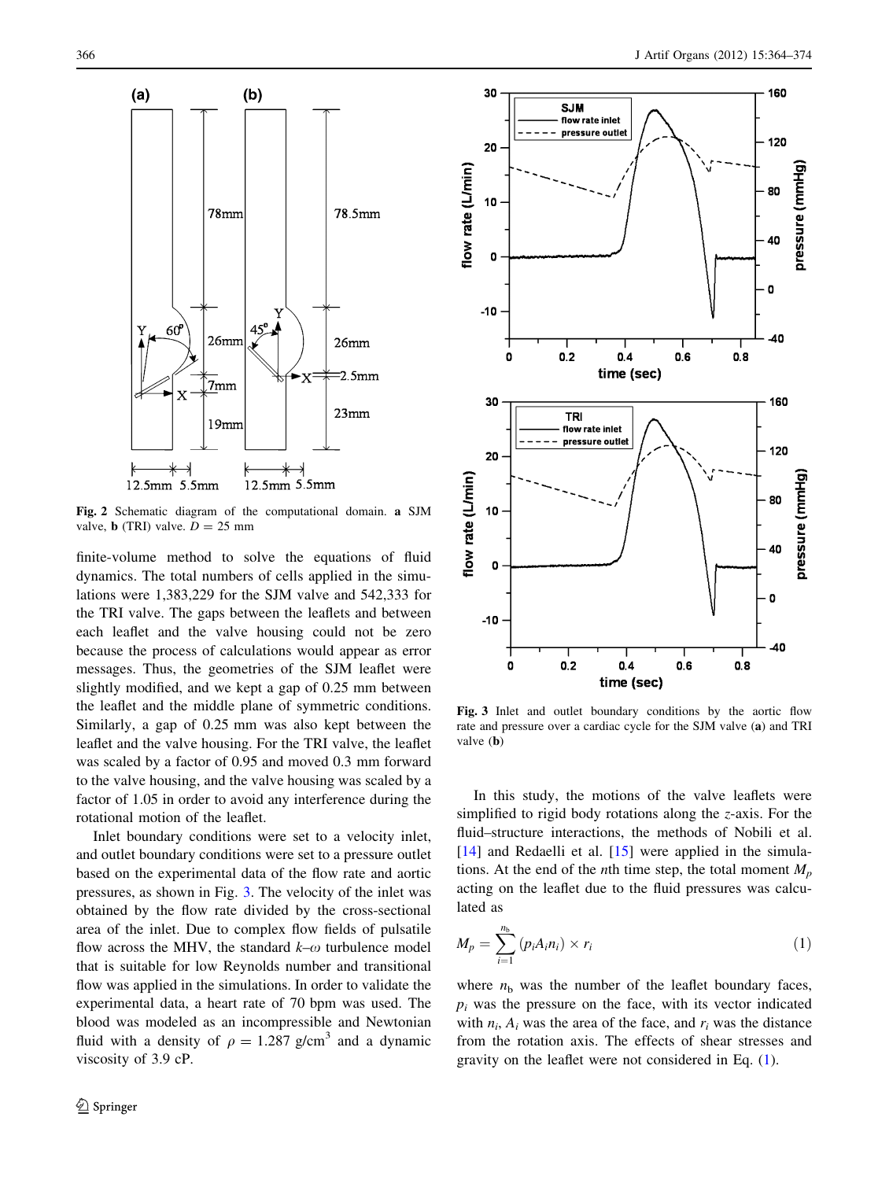<span id="page-2-0"></span>

Fig. 2 Schematic diagram of the computational domain. a SJM valve, **b** (TRI) valve.  $D = 25$  mm

finite-volume method to solve the equations of fluid dynamics. The total numbers of cells applied in the simulations were 1,383,229 for the SJM valve and 542,333 for the TRI valve. The gaps between the leaflets and between each leaflet and the valve housing could not be zero because the process of calculations would appear as error messages. Thus, the geometries of the SJM leaflet were slightly modified, and we kept a gap of 0.25 mm between the leaflet and the middle plane of symmetric conditions. Similarly, a gap of 0.25 mm was also kept between the leaflet and the valve housing. For the TRI valve, the leaflet was scaled by a factor of 0.95 and moved 0.3 mm forward to the valve housing, and the valve housing was scaled by a factor of 1.05 in order to avoid any interference during the rotational motion of the leaflet.

Inlet boundary conditions were set to a velocity inlet, and outlet boundary conditions were set to a pressure outlet based on the experimental data of the flow rate and aortic pressures, as shown in Fig. 3. The velocity of the inlet was obtained by the flow rate divided by the cross-sectional area of the inlet. Due to complex flow fields of pulsatile flow across the MHV, the standard  $k-\omega$  turbulence model that is suitable for low Reynolds number and transitional flow was applied in the simulations. In order to validate the experimental data, a heart rate of 70 bpm was used. The blood was modeled as an incompressible and Newtonian fluid with a density of  $\rho = 1.287$  g/cm<sup>3</sup> and a dynamic viscosity of 3.9 cP.



Fig. 3 Inlet and outlet boundary conditions by the aortic flow rate and pressure over a cardiac cycle for the SJM valve (a) and TRI valve (b)

In this study, the motions of the valve leaflets were simplified to rigid body rotations along the z-axis. For the fluid–structure interactions, the methods of Nobili et al.  $[14]$  $[14]$  and Redaelli et al.  $[15]$  $[15]$  were applied in the simulations. At the end of the *n*th time step, the total moment  $M_p$ acting on the leaflet due to the fluid pressures was calculated as

$$
M_p = \sum_{i=1}^{n_b} (p_i A_i n_i) \times r_i \tag{1}
$$

where  $n<sub>b</sub>$  was the number of the leaflet boundary faces,  $p_i$  was the pressure on the face, with its vector indicated with  $n_i$ ,  $A_i$  was the area of the face, and  $r_i$  was the distance from the rotation axis. The effects of shear stresses and gravity on the leaflet were not considered in Eq. (1).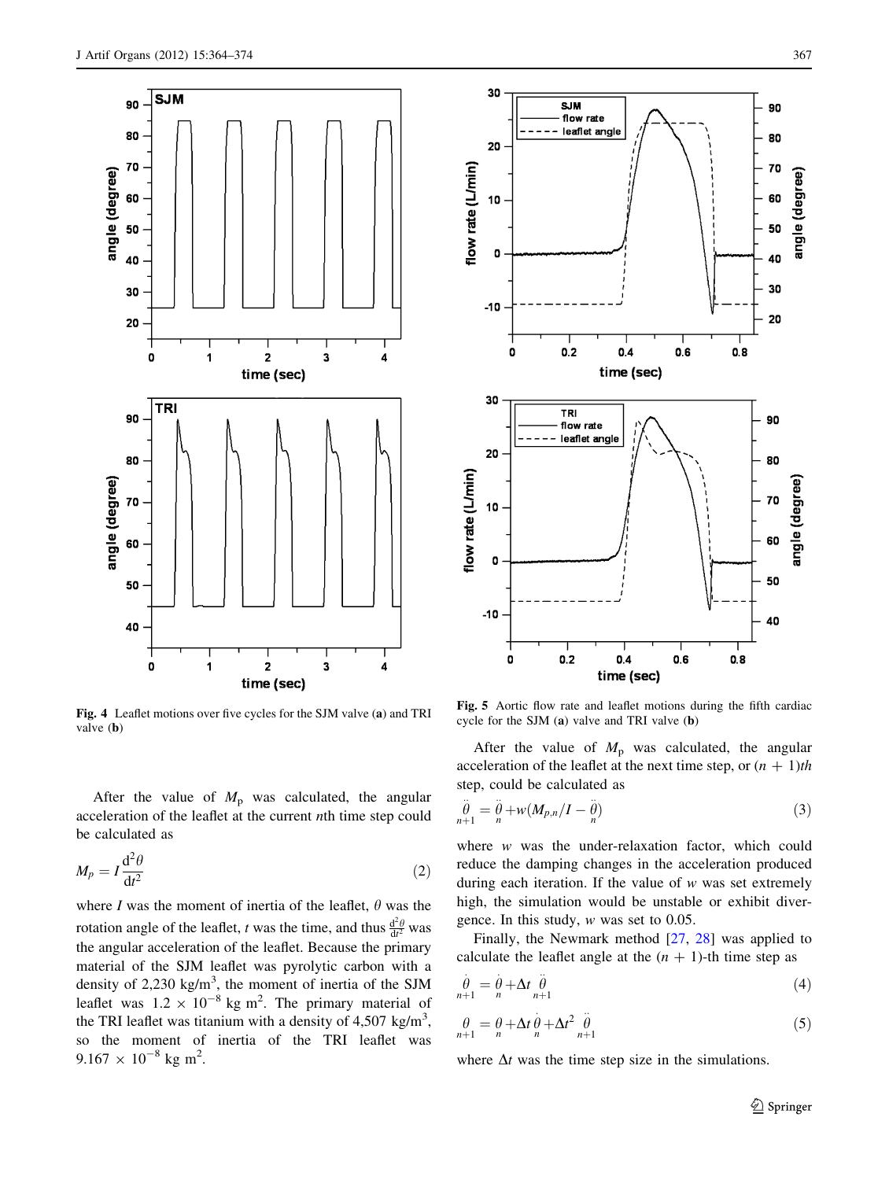<span id="page-3-0"></span>

Fig. 4 Leaflet motions over five cycles for the SJM valve (a) and TRI valve (b)

After the value of  $M_{\text{p}}$  was calculated, the angular acceleration of the leaflet at the current nth time step could be calculated as

$$
M_p = I \frac{d^2 \theta}{dt^2} \tag{2}
$$

where I was the moment of inertia of the leaflet,  $\theta$  was the rotation angle of the leaflet, t was the time, and thus  $\frac{d^2\theta}{dt^2}$  was the angular acceleration of the leaflet. Because the primary material of the SJM leaflet was pyrolytic carbon with a density of 2,230 kg/m<sup>3</sup>, the moment of inertia of the SJM leaflet was  $1.2 \times 10^{-8}$  kg m<sup>2</sup>. The primary material of the TRI leaflet was titanium with a density of  $4,507 \text{ kg/m}^3$ , so the moment of inertia of the TRI leaflet was  $9.167 \times 10^{-8}$  kg m<sup>2</sup>.



Fig. 5 Aortic flow rate and leaflet motions during the fifth cardiac cycle for the SJM (a) valve and TRI valve (b)

After the value of  $M_{\text{p}}$  was calculated, the angular acceleration of the leaflet at the next time step, or  $(n + 1)$ th step, could be calculated as

$$
\ddot{\hat{\theta}}_{n+1} = \ddot{\hat{\theta}} + w(M_{p,n}/I - \ddot{\hat{\theta}})
$$
\n(3)

where  $w$  was the under-relaxation factor, which could reduce the damping changes in the acceleration produced during each iteration. If the value of  $w$  was set extremely high, the simulation would be unstable or exhibit divergence. In this study, w was set to 0.05.

Finally, the Newmark method [[27](#page-10-0), [28\]](#page-10-0) was applied to calculate the leaflet angle at the  $(n + 1)$ -th time step as

$$
\hat{\theta}_{n+1} = \hat{\theta} + \Delta t \, \hat{\theta}_{n+1} \tag{4}
$$

$$
\theta_{n+1} = \theta + \Delta t \theta_{n} + \Delta t^{2} \ddot{\theta}_{n+1}
$$
 (5)

where  $\Delta t$  was the time step size in the simulations.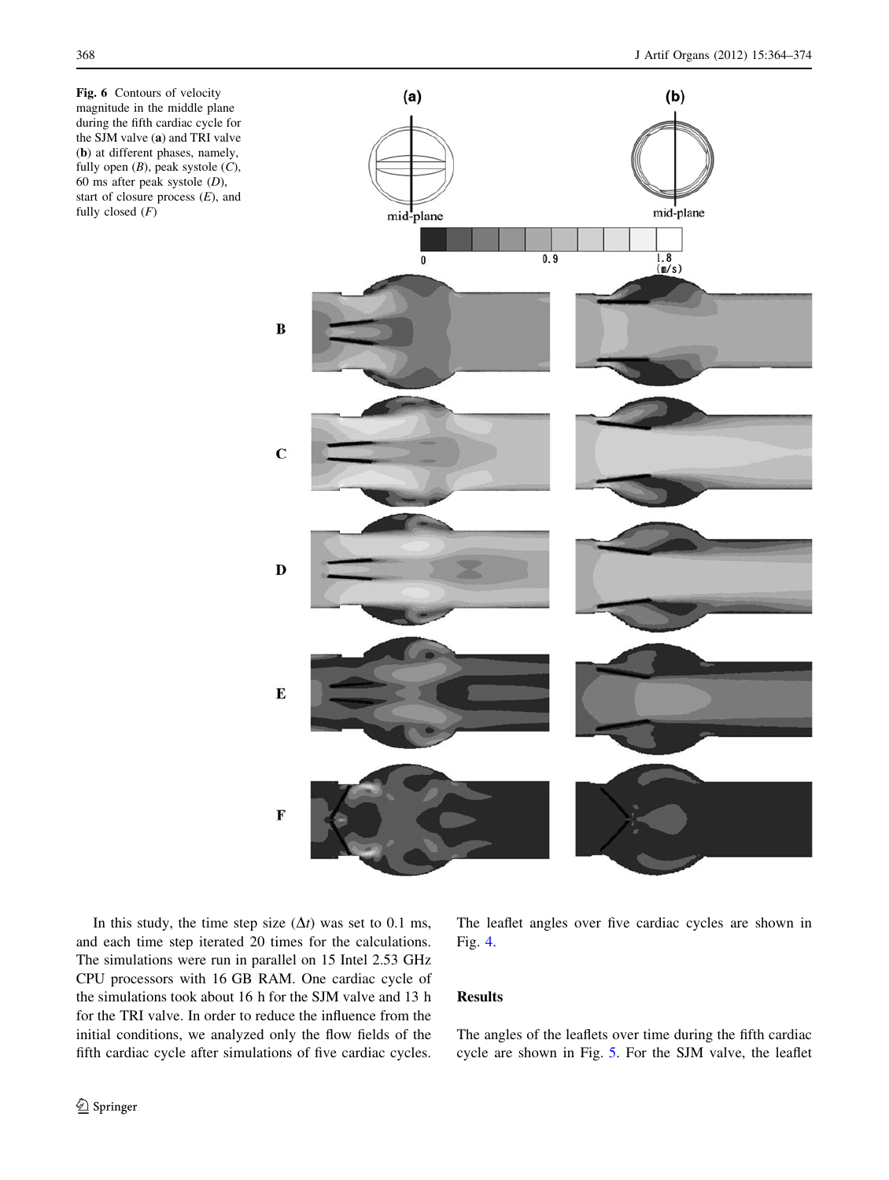<span id="page-4-0"></span>Fig. 6 Contours of velocity magnitude in the middle plane during the fifth cardiac cycle for the SJM valve (a) and TRI valve (b) at different phases, namely, fully open  $(B)$ , peak systole  $(C)$ , 60 ms after peak systole (D), start of closure process  $(E)$ , and fully closed  $(F)$ 



In this study, the time step size  $(\Delta t)$  was set to 0.1 ms, and each time step iterated 20 times for the calculations. The simulations were run in parallel on 15 Intel 2.53 GHz CPU processors with 16 GB RAM. One cardiac cycle of the simulations took about 16 h for the SJM valve and 13 h for the TRI valve. In order to reduce the influence from the initial conditions, we analyzed only the flow fields of the fifth cardiac cycle after simulations of five cardiac cycles. The leaflet angles over five cardiac cycles are shown in Fig. [4](#page-3-0).

# Results

The angles of the leaflets over time during the fifth cardiac cycle are shown in Fig. [5](#page-3-0). For the SJM valve, the leaflet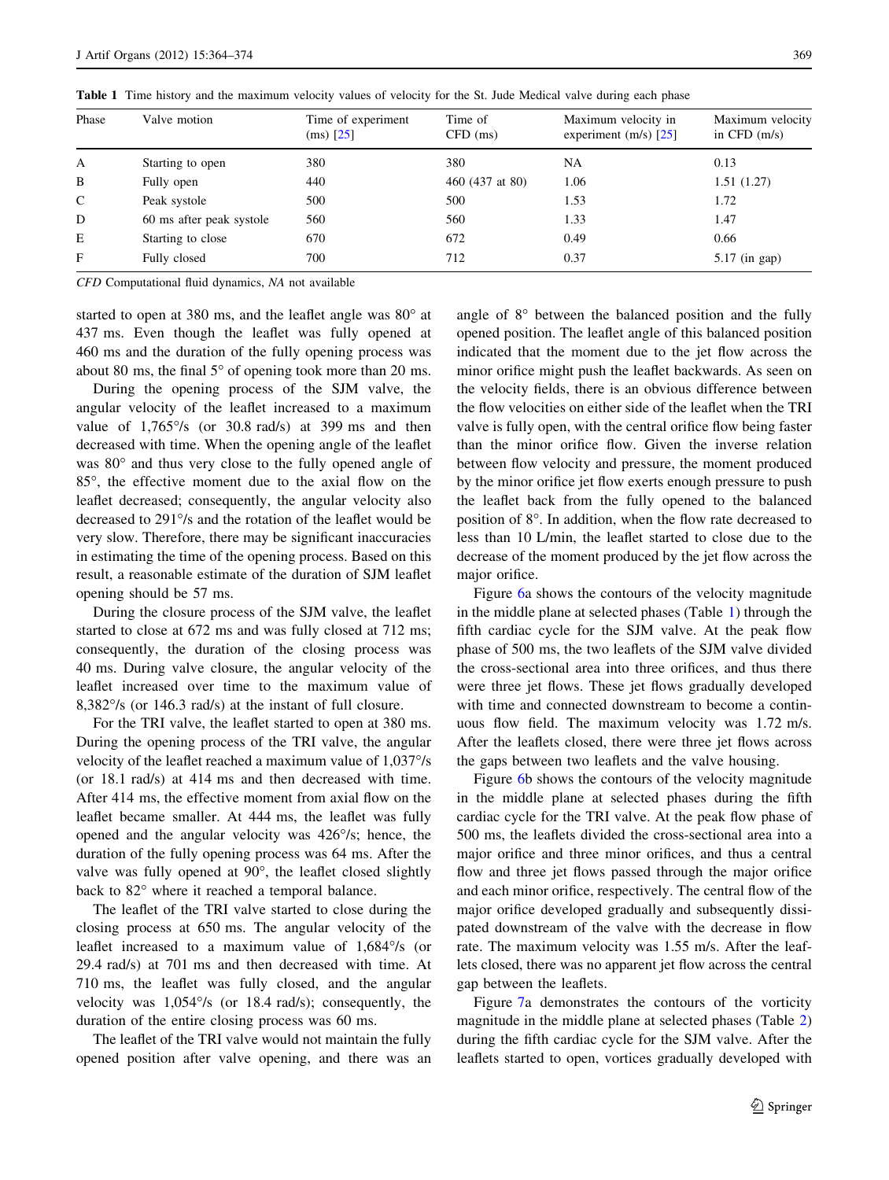| Phase         | Valve motion             | Time of experiment<br>$(ms)$ [25] | Time of<br>$CFD$ (ms) | Maximum velocity in<br>experiment $(m/s)$ [25] | Maximum velocity<br>in CFD $(m/s)$ |
|---------------|--------------------------|-----------------------------------|-----------------------|------------------------------------------------|------------------------------------|
| A             | Starting to open         | 380                               | 380                   | NA                                             | 0.13                               |
| B             | Fully open               | 440                               | 460 (437 at 80)       | 1.06                                           | 1.51(1.27)                         |
| $\mathcal{C}$ | Peak systole             | 500                               | 500                   | 1.53                                           | 1.72                               |
| D             | 60 ms after peak systole | 560                               | 560                   | 1.33                                           | 1.47                               |
| Е             | Starting to close        | 670                               | 672                   | 0.49                                           | 0.66                               |
| F             | Fully closed             | 700                               | 712                   | 0.37                                           | $5.17$ (in gap)                    |

<span id="page-5-0"></span>Table 1 Time history and the maximum velocity values of velocity for the St. Jude Medical valve during each phase

CFD Computational fluid dynamics, NA not available

started to open at 380 ms, and the leaflet angle was  $80^{\circ}$  at 437 ms. Even though the leaflet was fully opened at 460 ms and the duration of the fully opening process was about 80 ms, the final  $5^{\circ}$  of opening took more than 20 ms.

During the opening process of the SJM valve, the angular velocity of the leaflet increased to a maximum value of  $1,765^{\circ}/s$  (or  $30.8$  rad/s) at 399 ms and then decreased with time. When the opening angle of the leaflet was  $80^\circ$  and thus very close to the fully opened angle of  $85^\circ$ , the effective moment due to the axial flow on the leaflet decreased; consequently, the angular velocity also decreased to 291% and the rotation of the leaflet would be very slow. Therefore, there may be significant inaccuracies in estimating the time of the opening process. Based on this result, a reasonable estimate of the duration of SJM leaflet opening should be 57 ms.

During the closure process of the SJM valve, the leaflet started to close at 672 ms and was fully closed at 712 ms; consequently, the duration of the closing process was 40 ms. During valve closure, the angular velocity of the leaflet increased over time to the maximum value of  $8,382\%$  (or 146.3 rad/s) at the instant of full closure.

For the TRI valve, the leaflet started to open at 380 ms. During the opening process of the TRI valve, the angular velocity of the leaflet reached a maximum value of  $1,037\%$ (or 18.1 rad/s) at 414 ms and then decreased with time. After 414 ms, the effective moment from axial flow on the leaflet became smaller. At 444 ms, the leaflet was fully opened and the angular velocity was  $426^{\circ}/s$ ; hence, the duration of the fully opening process was 64 ms. After the valve was fully opened at  $90^\circ$ , the leaflet closed slightly back to  $82^{\circ}$  where it reached a temporal balance.

The leaflet of the TRI valve started to close during the closing process at 650 ms. The angular velocity of the leaflet increased to a maximum value of  $1,684^{\circ}/s$  (or 29.4 rad/s) at 701 ms and then decreased with time. At 710 ms, the leaflet was fully closed, and the angular velocity was  $1,054\%$  (or 18.4 rad/s); consequently, the duration of the entire closing process was 60 ms.

The leaflet of the TRI valve would not maintain the fully opened position after valve opening, and there was an

angle of  $8^\circ$  between the balanced position and the fully opened position. The leaflet angle of this balanced position indicated that the moment due to the jet flow across the minor orifice might push the leaflet backwards. As seen on the velocity fields, there is an obvious difference between the flow velocities on either side of the leaflet when the TRI valve is fully open, with the central orifice flow being faster than the minor orifice flow. Given the inverse relation between flow velocity and pressure, the moment produced by the minor orifice jet flow exerts enough pressure to push the leaflet back from the fully opened to the balanced position of  $8^\circ$ . In addition, when the flow rate decreased to less than 10 L/min, the leaflet started to close due to the decrease of the moment produced by the jet flow across the major orifice.

Figure [6a](#page-4-0) shows the contours of the velocity magnitude in the middle plane at selected phases (Table 1) through the fifth cardiac cycle for the SJM valve. At the peak flow phase of 500 ms, the two leaflets of the SJM valve divided the cross-sectional area into three orifices, and thus there were three jet flows. These jet flows gradually developed with time and connected downstream to become a continuous flow field. The maximum velocity was 1.72 m/s. After the leaflets closed, there were three jet flows across the gaps between two leaflets and the valve housing.

Figure [6b](#page-4-0) shows the contours of the velocity magnitude in the middle plane at selected phases during the fifth cardiac cycle for the TRI valve. At the peak flow phase of 500 ms, the leaflets divided the cross-sectional area into a major orifice and three minor orifices, and thus a central flow and three jet flows passed through the major orifice and each minor orifice, respectively. The central flow of the major orifice developed gradually and subsequently dissipated downstream of the valve with the decrease in flow rate. The maximum velocity was 1.55 m/s. After the leaflets closed, there was no apparent jet flow across the central gap between the leaflets.

Figure [7a](#page-6-0) demonstrates the contours of the vorticity magnitude in the middle plane at selected phases (Table [2\)](#page-7-0) during the fifth cardiac cycle for the SJM valve. After the leaflets started to open, vortices gradually developed with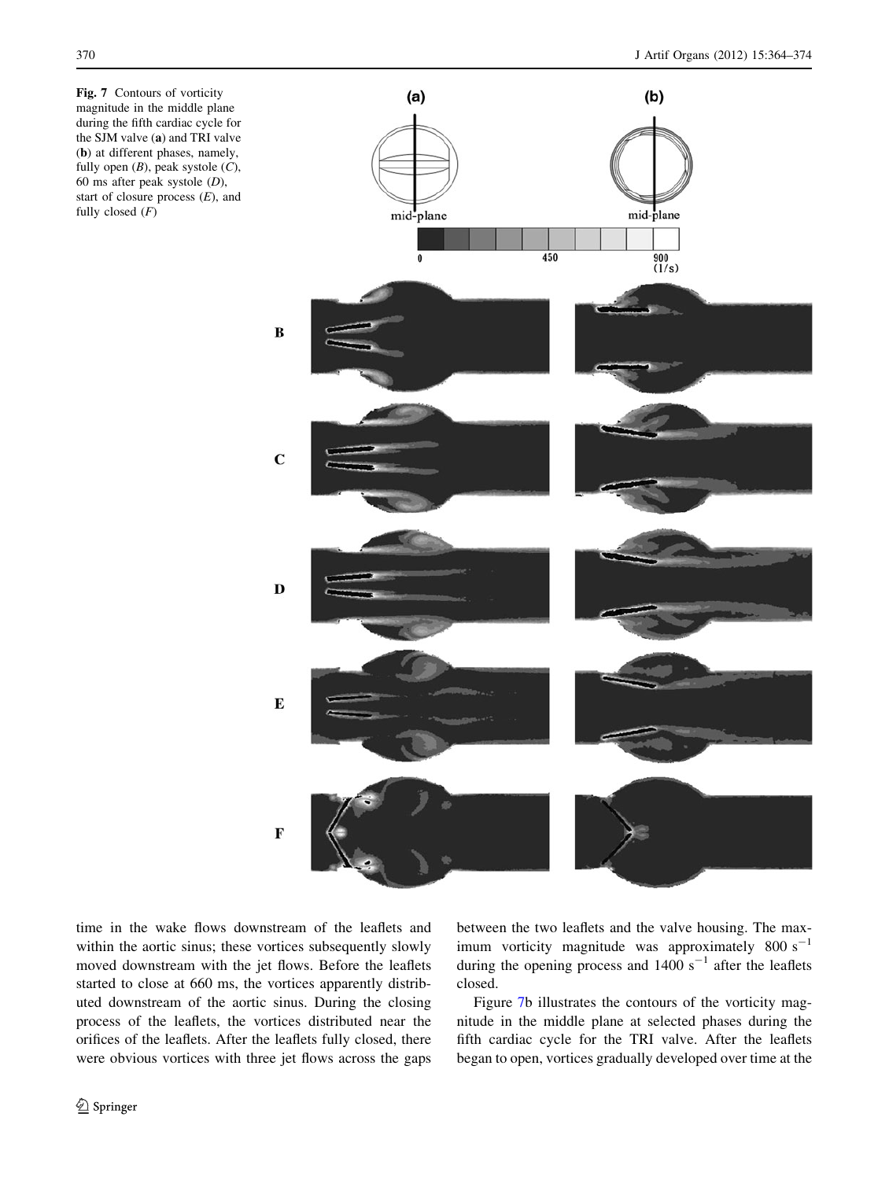<span id="page-6-0"></span>Fig. 7 Contours of vorticity magnitude in the middle plane during the fifth cardiac cycle for the SJM valve (a) and TRI valve (b) at different phases, namely, fully open  $(B)$ , peak systole  $(C)$ , 60 ms after peak systole (D), start of closure process  $(E)$ , and fully closed  $(F)$ 



time in the wake flows downstream of the leaflets and within the aortic sinus; these vortices subsequently slowly moved downstream with the jet flows. Before the leaflets started to close at 660 ms, the vortices apparently distributed downstream of the aortic sinus. During the closing process of the leaflets, the vortices distributed near the orifices of the leaflets. After the leaflets fully closed, there were obvious vortices with three jet flows across the gaps between the two leaflets and the valve housing. The maximum vorticity magnitude was approximately  $800 s^{-1}$ during the opening process and  $1400 \text{ s}^{-1}$  after the leaflets closed.

Figure 7b illustrates the contours of the vorticity magnitude in the middle plane at selected phases during the fifth cardiac cycle for the TRI valve. After the leaflets began to open, vortices gradually developed over time at the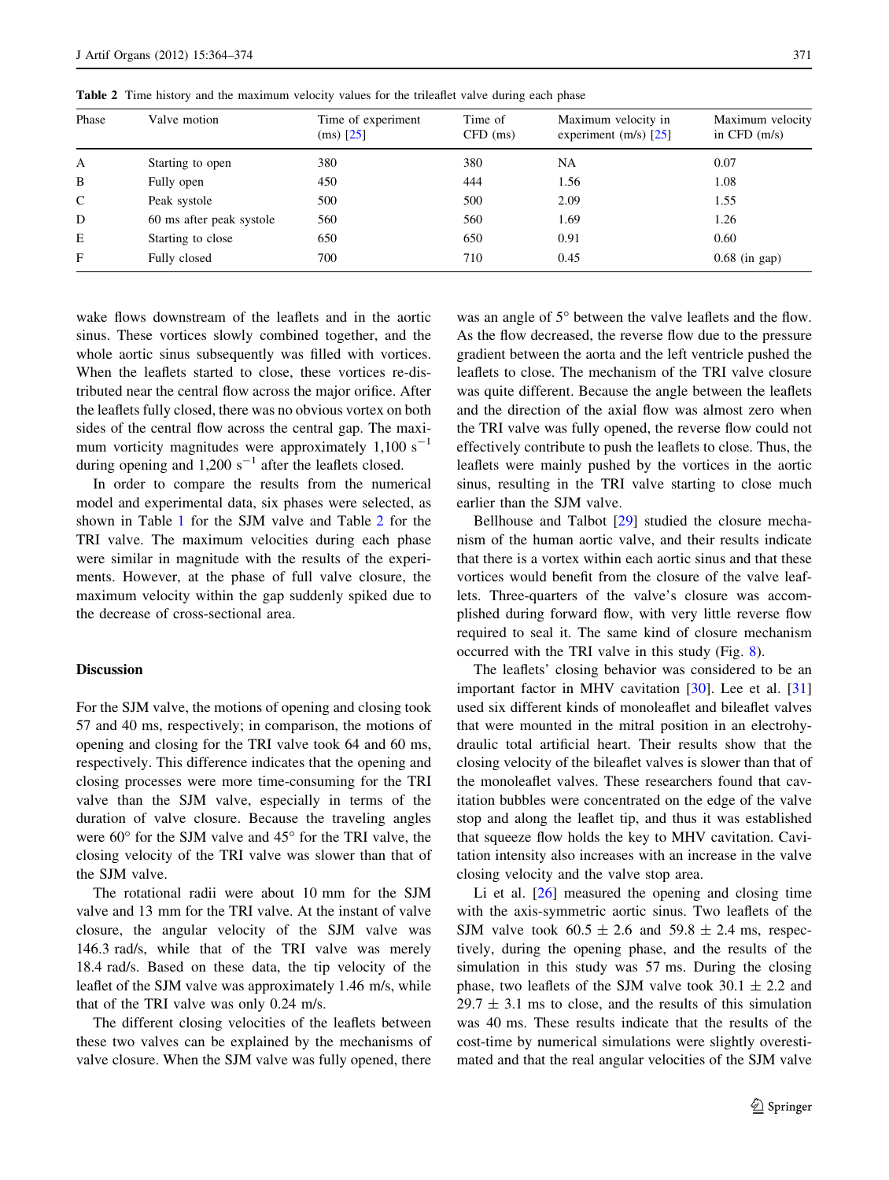| Phase         | Valve motion             | Time of experiment<br>$(ms)$ [25] | Time of<br>$CFD$ (ms) | Maximum velocity in<br>experiment $(m/s)$ [25] | Maximum velocity<br>in CFD $(m/s)$ |
|---------------|--------------------------|-----------------------------------|-----------------------|------------------------------------------------|------------------------------------|
| A             | Starting to open         | 380                               | 380                   | <b>NA</b>                                      | 0.07                               |
| B             | Fully open               | 450                               | 444                   | 1.56                                           | 1.08                               |
| $\mathcal{C}$ | Peak systole             | 500                               | 500                   | 2.09                                           | 1.55                               |
| D             | 60 ms after peak systole | 560                               | 560                   | 1.69                                           | 1.26                               |
| E             | Starting to close        | 650                               | 650                   | 0.91                                           | 0.60                               |
| $\mathbf{F}$  | Fully closed             | 700                               | 710                   | 0.45                                           | $0.68$ (in gap)                    |

<span id="page-7-0"></span>Table 2 Time history and the maximum velocity values for the trileaflet valve during each phase

wake flows downstream of the leaflets and in the aortic sinus. These vortices slowly combined together, and the whole aortic sinus subsequently was filled with vortices. When the leaflets started to close, these vortices re-distributed near the central flow across the major orifice. After the leaflets fully closed, there was no obvious vortex on both sides of the central flow across the central gap. The maximum vorticity magnitudes were approximately  $1,100 \text{ s}^{-1}$ during opening and  $1,200$  s<sup>-1</sup> after the leaflets closed.

In order to compare the results from the numerical model and experimental data, six phases were selected, as shown in Table [1](#page-5-0) for the SJM valve and Table 2 for the TRI valve. The maximum velocities during each phase were similar in magnitude with the results of the experiments. However, at the phase of full valve closure, the maximum velocity within the gap suddenly spiked due to the decrease of cross-sectional area.

# Discussion

For the SJM valve, the motions of opening and closing took 57 and 40 ms, respectively; in comparison, the motions of opening and closing for the TRI valve took 64 and 60 ms, respectively. This difference indicates that the opening and closing processes were more time-consuming for the TRI valve than the SJM valve, especially in terms of the duration of valve closure. Because the traveling angles were  $60^{\circ}$  for the SJM valve and  $45^{\circ}$  for the TRI valve, the closing velocity of the TRI valve was slower than that of the SJM valve.

The rotational radii were about 10 mm for the SJM valve and 13 mm for the TRI valve. At the instant of valve closure, the angular velocity of the SJM valve was 146.3 rad/s, while that of the TRI valve was merely 18.4 rad/s. Based on these data, the tip velocity of the leaflet of the SJM valve was approximately 1.46 m/s, while that of the TRI valve was only 0.24 m/s.

The different closing velocities of the leaflets between these two valves can be explained by the mechanisms of valve closure. When the SJM valve was fully opened, there

was an angle of  $5^\circ$  between the valve leaflets and the flow. As the flow decreased, the reverse flow due to the pressure gradient between the aorta and the left ventricle pushed the leaflets to close. The mechanism of the TRI valve closure was quite different. Because the angle between the leaflets and the direction of the axial flow was almost zero when the TRI valve was fully opened, the reverse flow could not effectively contribute to push the leaflets to close. Thus, the leaflets were mainly pushed by the vortices in the aortic sinus, resulting in the TRI valve starting to close much earlier than the SJM valve.

Bellhouse and Talbot [\[29](#page-10-0)] studied the closure mechanism of the human aortic valve, and their results indicate that there is a vortex within each aortic sinus and that these vortices would benefit from the closure of the valve leaflets. Three-quarters of the valve's closure was accomplished during forward flow, with very little reverse flow required to seal it. The same kind of closure mechanism occurred with the TRI valve in this study (Fig. [8\)](#page-8-0).

The leaflets' closing behavior was considered to be an important factor in MHV cavitation [\[30](#page-10-0)]. Lee et al. [[31\]](#page-10-0) used six different kinds of monoleaflet and bileaflet valves that were mounted in the mitral position in an electrohydraulic total artificial heart. Their results show that the closing velocity of the bileaflet valves is slower than that of the monoleaflet valves. These researchers found that cavitation bubbles were concentrated on the edge of the valve stop and along the leaflet tip, and thus it was established that squeeze flow holds the key to MHV cavitation. Cavitation intensity also increases with an increase in the valve closing velocity and the valve stop area.

Li et al. [\[26](#page-10-0)] measured the opening and closing time with the axis-symmetric aortic sinus. Two leaflets of the SJM valve took  $60.5 \pm 2.6$  and  $59.8 \pm 2.4$  ms, respectively, during the opening phase, and the results of the simulation in this study was 57 ms. During the closing phase, two leaflets of the SJM valve took  $30.1 \pm 2.2$  and  $29.7 \pm 3.1$  ms to close, and the results of this simulation was 40 ms. These results indicate that the results of the cost-time by numerical simulations were slightly overestimated and that the real angular velocities of the SJM valve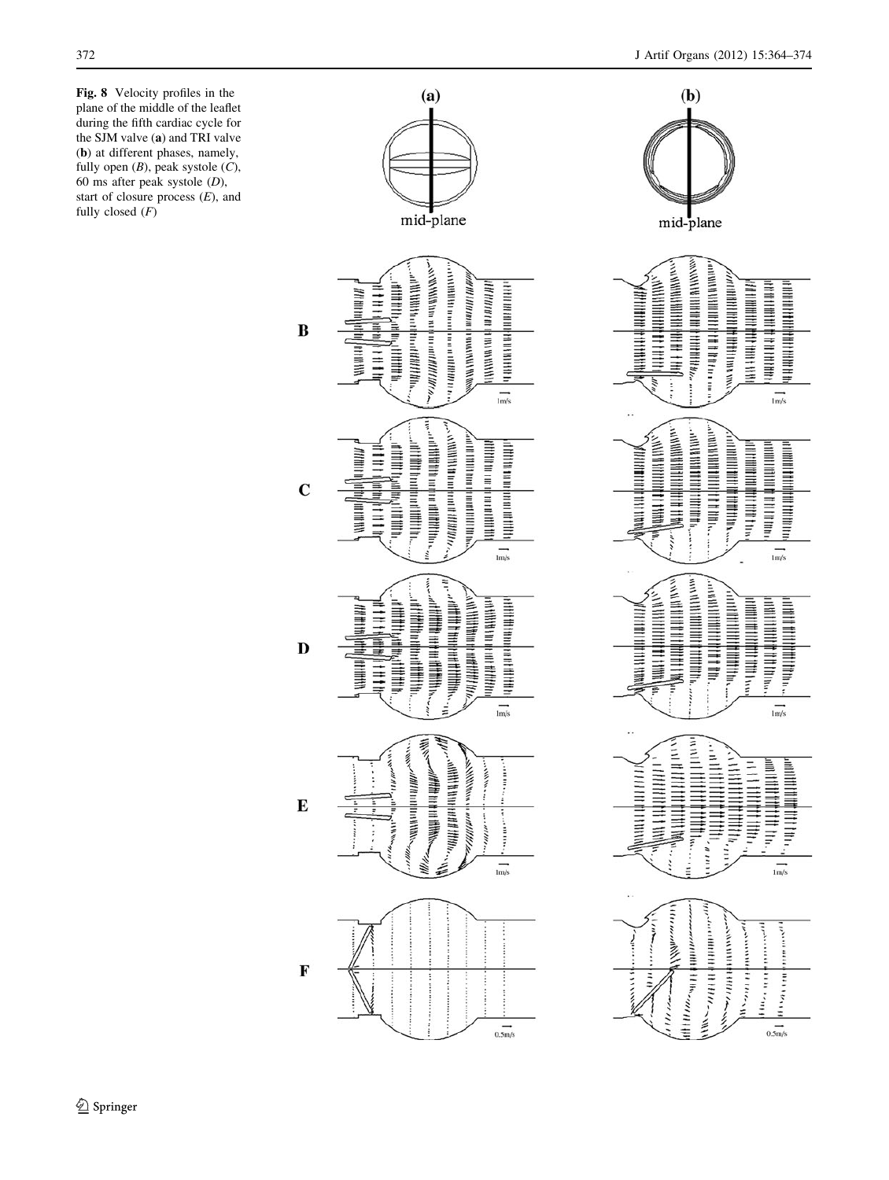<span id="page-8-0"></span>Fig. 8 Velocity profiles in the plane of the middle of the leaflet during the fifth cardiac cycle for the SJM valve (a) and TRI valve (b) at different phases, namely, fully open  $(B)$ , peak systole  $(C)$ , 60 ms after peak systole (D), start of closure process  $(E)$ , and fully closed  $(F)$ 

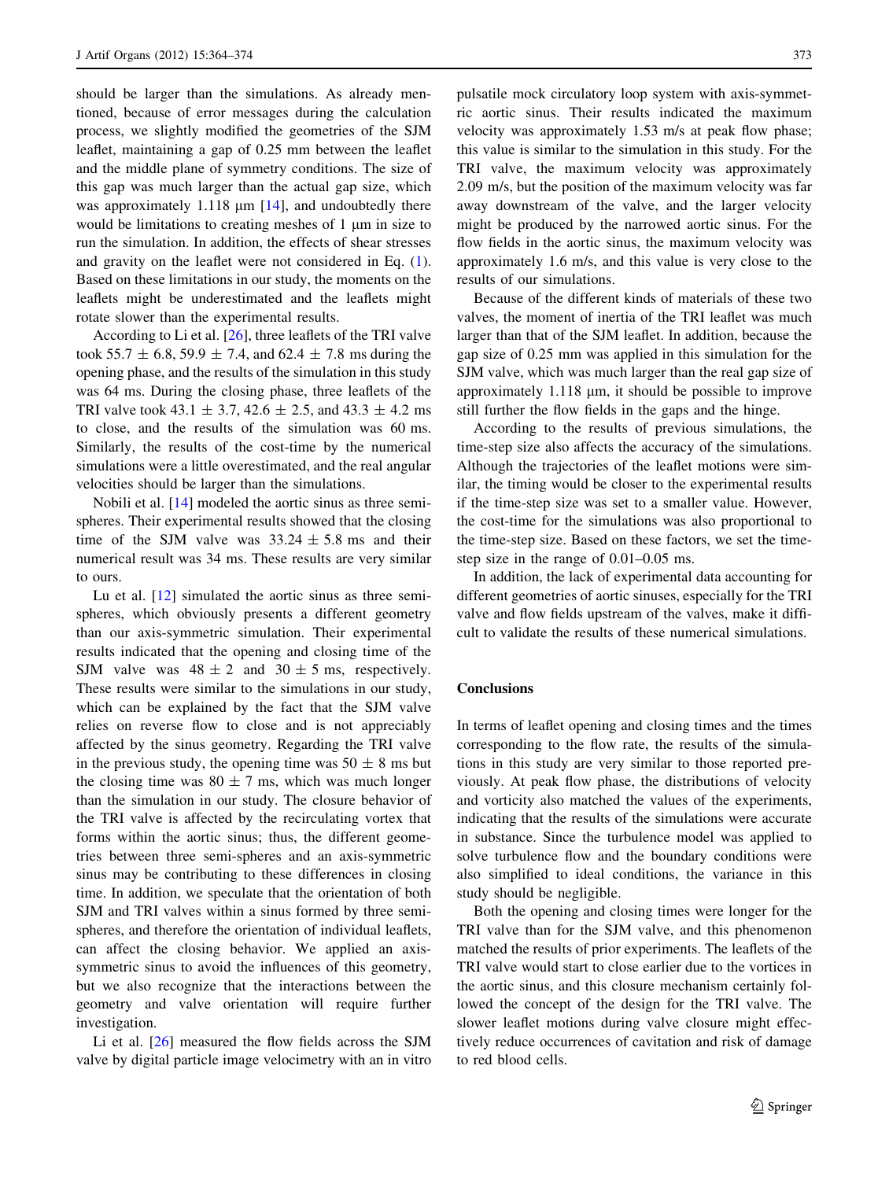should be larger than the simulations. As already mentioned, because of error messages during the calculation process, we slightly modified the geometries of the SJM leaflet, maintaining a gap of 0.25 mm between the leaflet and the middle plane of symmetry conditions. The size of this gap was much larger than the actual gap size, which was approximately 1.118  $\mu$ m [[14\]](#page-10-0), and undoubtedly there would be limitations to creating meshes of 1 µm in size to run the simulation. In addition, the effects of shear stresses and gravity on the leaflet were not considered in Eq. [\(1](#page-2-0)). Based on these limitations in our study, the moments on the leaflets might be underestimated and the leaflets might rotate slower than the experimental results.

According to Li et al. [[26\]](#page-10-0), three leaflets of the TRI valve took 55.7  $\pm$  6.8, 59.9  $\pm$  7.4, and 62.4  $\pm$  7.8 ms during the opening phase, and the results of the simulation in this study was 64 ms. During the closing phase, three leaflets of the TRI valve took 43.1  $\pm$  3.7, 42.6  $\pm$  2.5, and 43.3  $\pm$  4.2 ms to close, and the results of the simulation was 60 ms. Similarly, the results of the cost-time by the numerical simulations were a little overestimated, and the real angular velocities should be larger than the simulations.

Nobili et al. [\[14](#page-10-0)] modeled the aortic sinus as three semispheres. Their experimental results showed that the closing time of the SJM valve was  $33.24 \pm 5.8$  ms and their numerical result was 34 ms. These results are very similar to ours.

Lu et al. [[12\]](#page-10-0) simulated the aortic sinus as three semispheres, which obviously presents a different geometry than our axis-symmetric simulation. Their experimental results indicated that the opening and closing time of the SJM valve was  $48 \pm 2$  and  $30 \pm 5$  ms, respectively. These results were similar to the simulations in our study, which can be explained by the fact that the SJM valve relies on reverse flow to close and is not appreciably affected by the sinus geometry. Regarding the TRI valve in the previous study, the opening time was  $50 \pm 8$  ms but the closing time was  $80 \pm 7$  ms, which was much longer than the simulation in our study. The closure behavior of the TRI valve is affected by the recirculating vortex that forms within the aortic sinus; thus, the different geometries between three semi-spheres and an axis-symmetric sinus may be contributing to these differences in closing time. In addition, we speculate that the orientation of both SJM and TRI valves within a sinus formed by three semispheres, and therefore the orientation of individual leaflets, can affect the closing behavior. We applied an axissymmetric sinus to avoid the influences of this geometry, but we also recognize that the interactions between the geometry and valve orientation will require further investigation.

Li et al. [\[26](#page-10-0)] measured the flow fields across the SJM valve by digital particle image velocimetry with an in vitro pulsatile mock circulatory loop system with axis-symmetric aortic sinus. Their results indicated the maximum velocity was approximately 1.53 m/s at peak flow phase; this value is similar to the simulation in this study. For the TRI valve, the maximum velocity was approximately 2.09 m/s, but the position of the maximum velocity was far away downstream of the valve, and the larger velocity might be produced by the narrowed aortic sinus. For the flow fields in the aortic sinus, the maximum velocity was approximately 1.6 m/s, and this value is very close to the results of our simulations.

Because of the different kinds of materials of these two valves, the moment of inertia of the TRI leaflet was much larger than that of the SJM leaflet. In addition, because the gap size of 0.25 mm was applied in this simulation for the SJM valve, which was much larger than the real gap size of approximately  $1.118 \mu m$ , it should be possible to improve still further the flow fields in the gaps and the hinge.

According to the results of previous simulations, the time-step size also affects the accuracy of the simulations. Although the trajectories of the leaflet motions were similar, the timing would be closer to the experimental results if the time-step size was set to a smaller value. However, the cost-time for the simulations was also proportional to the time-step size. Based on these factors, we set the timestep size in the range of 0.01–0.05 ms.

In addition, the lack of experimental data accounting for different geometries of aortic sinuses, especially for the TRI valve and flow fields upstream of the valves, make it difficult to validate the results of these numerical simulations.

#### **Conclusions**

In terms of leaflet opening and closing times and the times corresponding to the flow rate, the results of the simulations in this study are very similar to those reported previously. At peak flow phase, the distributions of velocity and vorticity also matched the values of the experiments, indicating that the results of the simulations were accurate in substance. Since the turbulence model was applied to solve turbulence flow and the boundary conditions were also simplified to ideal conditions, the variance in this study should be negligible.

Both the opening and closing times were longer for the TRI valve than for the SJM valve, and this phenomenon matched the results of prior experiments. The leaflets of the TRI valve would start to close earlier due to the vortices in the aortic sinus, and this closure mechanism certainly followed the concept of the design for the TRI valve. The slower leaflet motions during valve closure might effectively reduce occurrences of cavitation and risk of damage to red blood cells.